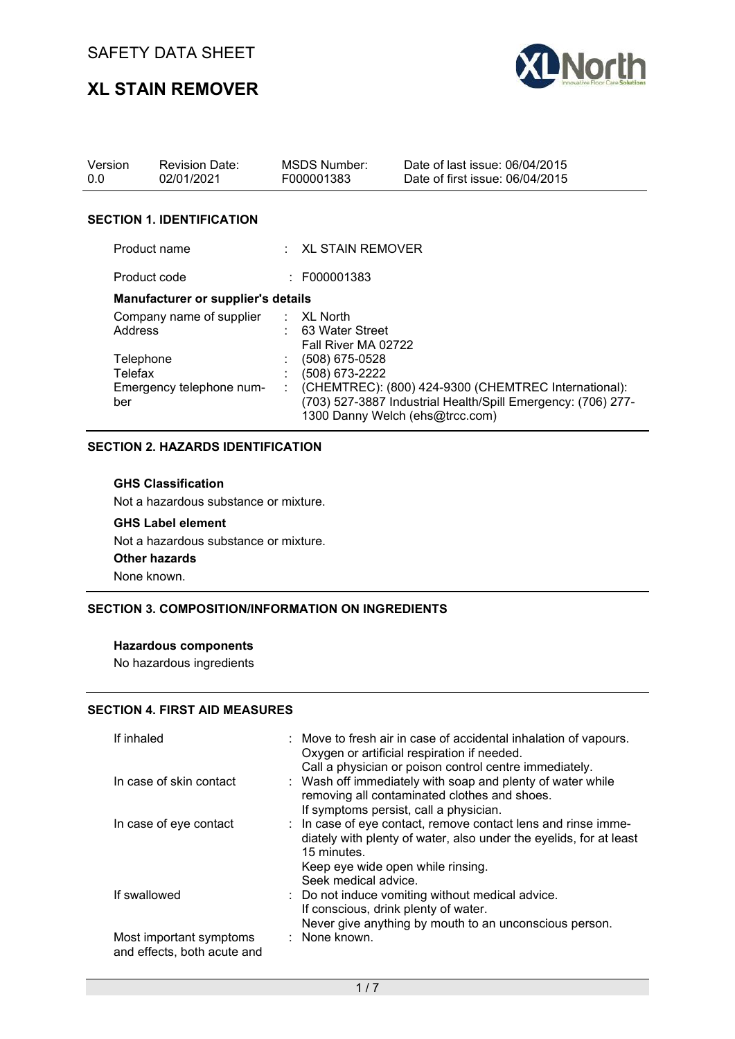# **XL STAIN REMOVER**



| Version<br>0.0                  | <b>Revision Date:</b><br>02/01/2021       |    | MSDS Number:<br>F000001383               | Date of last issue: 06/04/2015<br>Date of first issue: 06/04/2015                                                                                       |
|---------------------------------|-------------------------------------------|----|------------------------------------------|---------------------------------------------------------------------------------------------------------------------------------------------------------|
|                                 | <b>SECTION 1. IDENTIFICATION</b>          |    |                                          |                                                                                                                                                         |
|                                 |                                           |    |                                          |                                                                                                                                                         |
| Product name                    |                                           |    | $\pm$ XL STAIN REMOVER                   |                                                                                                                                                         |
| Product code                    |                                           |    | : F000001383                             |                                                                                                                                                         |
|                                 | <b>Manufacturer or supplier's details</b> |    |                                          |                                                                                                                                                         |
| Address                         | Company name of supplier : XL North       |    | : 63 Water Street<br>Fall River MA 02722 |                                                                                                                                                         |
| Telephone                       |                                           |    | $(508)$ 675-0528                         |                                                                                                                                                         |
| Telefax                         |                                           |    | (508) 673-2222                           |                                                                                                                                                         |
| Emergency telephone num-<br>ber |                                           | ÷. |                                          | (CHEMTREC): (800) 424-9300 (CHEMTREC International):<br>(703) 527-3887 Industrial Health/Spill Emergency: (706) 277-<br>1300 Danny Welch (ehs@trcc.com) |

#### **SECTION 2. HAZARDS IDENTIFICATION**

#### **GHS Classification**

Not a hazardous substance or mixture.

#### **GHS Label element**

Not a hazardous substance or mixture.

**Other hazards**

None known.

#### **SECTION 3. COMPOSITION/INFORMATION ON INGREDIENTS**

#### **Hazardous components**

No hazardous ingredients

#### **SECTION 4. FIRST AID MEASURES**

| If inhaled                                             | : Move to fresh air in case of accidental inhalation of vapours.<br>Oxygen or artificial respiration if needed.<br>Call a physician or poison control centre immediately.                                       |
|--------------------------------------------------------|-----------------------------------------------------------------------------------------------------------------------------------------------------------------------------------------------------------------|
| In case of skin contact                                | : Wash off immediately with soap and plenty of water while<br>removing all contaminated clothes and shoes.<br>If symptoms persist, call a physician.                                                            |
| In case of eye contact                                 | : In case of eye contact, remove contact lens and rinse imme-<br>diately with plenty of water, also under the eyelids, for at least<br>15 minutes.<br>Keep eye wide open while rinsing.<br>Seek medical advice. |
| If swallowed                                           | : Do not induce vomiting without medical advice.<br>If conscious, drink plenty of water.<br>Never give anything by mouth to an unconscious person.                                                              |
| Most important symptoms<br>and effects, both acute and | : None known.                                                                                                                                                                                                   |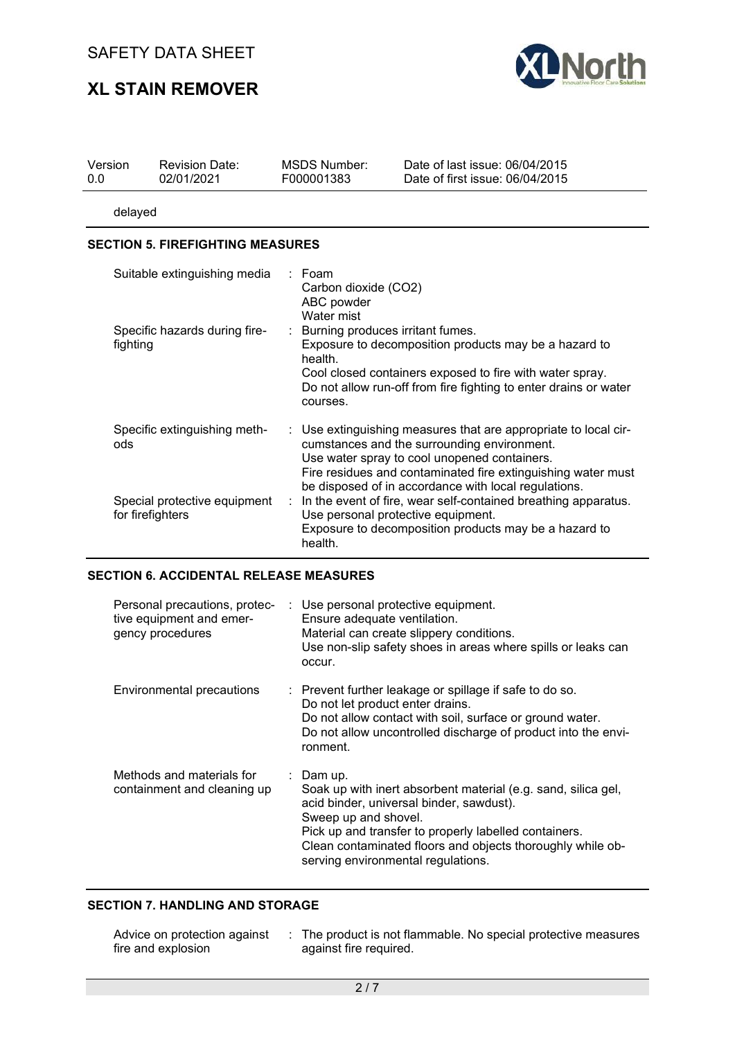# **XL STAIN REMOVER**



| Version | <b>Revision Date:</b> | MSDS Number: | Date of last issue: 06/04/2015  |
|---------|-----------------------|--------------|---------------------------------|
| 0.0     | 02/01/2021            | F000001383   | Date of first issue: 06/04/2015 |
|         |                       |              |                                 |

delayed

#### **SECTION 5. FIREFIGHTING MEASURES**

| Suitable extinguishing media                     | $\therefore$ Foam<br>Carbon dioxide (CO2)<br>ABC powder<br>Water mist                                                                                                                                                                                                                  |
|--------------------------------------------------|----------------------------------------------------------------------------------------------------------------------------------------------------------------------------------------------------------------------------------------------------------------------------------------|
| Specific hazards during fire-<br>fighting        | : Burning produces irritant fumes.<br>Exposure to decomposition products may be a hazard to<br>health.<br>Cool closed containers exposed to fire with water spray.<br>Do not allow run-off from fire fighting to enter drains or water<br>courses.                                     |
| Specific extinguishing meth-<br>ods              | : Use extinguishing measures that are appropriate to local cir-<br>cumstances and the surrounding environment.<br>Use water spray to cool unopened containers.<br>Fire residues and contaminated fire extinguishing water must<br>be disposed of in accordance with local regulations. |
| Special protective equipment<br>for firefighters | : In the event of fire, wear self-contained breathing apparatus.<br>Use personal protective equipment.<br>Exposure to decomposition products may be a hazard to<br>health.                                                                                                             |

### **SECTION 6. ACCIDENTAL RELEASE MEASURES**

| Personal precautions, protec-<br>tive equipment and emer-<br>gency procedures | : Use personal protective equipment.<br>Ensure adequate ventilation.<br>Material can create slippery conditions.<br>Use non-slip safety shoes in areas where spills or leaks can<br>occur.                                                                                                                  |
|-------------------------------------------------------------------------------|-------------------------------------------------------------------------------------------------------------------------------------------------------------------------------------------------------------------------------------------------------------------------------------------------------------|
| <b>Environmental precautions</b>                                              | : Prevent further leakage or spillage if safe to do so.<br>Do not let product enter drains.<br>Do not allow contact with soil, surface or ground water.<br>Do not allow uncontrolled discharge of product into the envi-<br>ronment.                                                                        |
| Methods and materials for<br>containment and cleaning up                      | : Dam up.<br>Soak up with inert absorbent material (e.g. sand, silica gel,<br>acid binder, universal binder, sawdust).<br>Sweep up and shovel.<br>Pick up and transfer to properly labelled containers.<br>Clean contaminated floors and objects thoroughly while ob-<br>serving environmental regulations. |

#### **SECTION 7. HANDLING AND STORAGE**

| Advice on protection against | : The product is not flammable. No special protective measures |
|------------------------------|----------------------------------------------------------------|
| fire and explosion           | against fire required.                                         |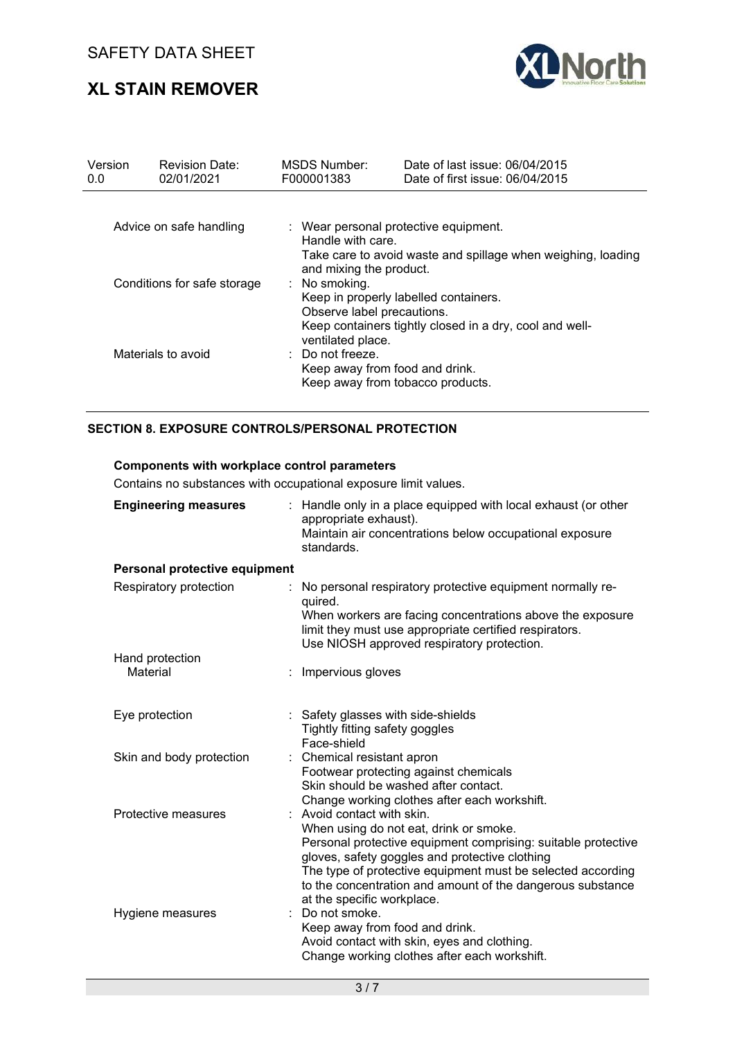# **XL STAIN REMOVER**



| Version<br>0.0              | <b>Revision Date:</b><br>02/01/2021 | MSDS Number:<br>F000001383                                                                                                                                                      | Date of last issue: 06/04/2015<br>Date of first issue: 06/04/2015                           |  |  |
|-----------------------------|-------------------------------------|---------------------------------------------------------------------------------------------------------------------------------------------------------------------------------|---------------------------------------------------------------------------------------------|--|--|
| Advice on safe handling     |                                     | Handle with care.                                                                                                                                                               | : Wear personal protective equipment.                                                       |  |  |
| Conditions for safe storage |                                     | Take care to avoid waste and spillage when weighing, loading<br>and mixing the product.<br>: No smoking.<br>Keep in properly labelled containers.<br>Observe label precautions. |                                                                                             |  |  |
| Materials to avoid          |                                     | ventilated place.<br>$\therefore$ Do not freeze.<br>Keep away from food and drink.                                                                                              | Keep containers tightly closed in a dry, cool and well-<br>Keep away from tobacco products. |  |  |

#### **SECTION 8. EXPOSURE CONTROLS/PERSONAL PROTECTION**

#### **Components with workplace control parameters**

Contains no substances with occupational exposure limit values.

| <b>Engineering measures</b>   |  | : Handle only in a place equipped with local exhaust (or other<br>appropriate exhaust).<br>Maintain air concentrations below occupational exposure<br>standards.                                                                                                                                                                                   |  |
|-------------------------------|--|----------------------------------------------------------------------------------------------------------------------------------------------------------------------------------------------------------------------------------------------------------------------------------------------------------------------------------------------------|--|
| Personal protective equipment |  |                                                                                                                                                                                                                                                                                                                                                    |  |
| Respiratory protection        |  | No personal respiratory protective equipment normally re-<br>quired.<br>When workers are facing concentrations above the exposure<br>limit they must use appropriate certified respirators.<br>Use NIOSH approved respiratory protection.                                                                                                          |  |
| Hand protection               |  |                                                                                                                                                                                                                                                                                                                                                    |  |
| Material                      |  | Impervious gloves                                                                                                                                                                                                                                                                                                                                  |  |
| Eye protection                |  | : Safety glasses with side-shields<br>Tightly fitting safety goggles<br>Face-shield                                                                                                                                                                                                                                                                |  |
| Skin and body protection      |  | : Chemical resistant apron<br>Footwear protecting against chemicals<br>Skin should be washed after contact.<br>Change working clothes after each workshift.                                                                                                                                                                                        |  |
| Protective measures           |  | : Avoid contact with skin.<br>When using do not eat, drink or smoke.<br>Personal protective equipment comprising: suitable protective<br>gloves, safety goggles and protective clothing<br>The type of protective equipment must be selected according<br>to the concentration and amount of the dangerous substance<br>at the specific workplace. |  |
| Hygiene measures              |  | Do not smoke.<br>Keep away from food and drink.<br>Avoid contact with skin, eyes and clothing.<br>Change working clothes after each workshift.                                                                                                                                                                                                     |  |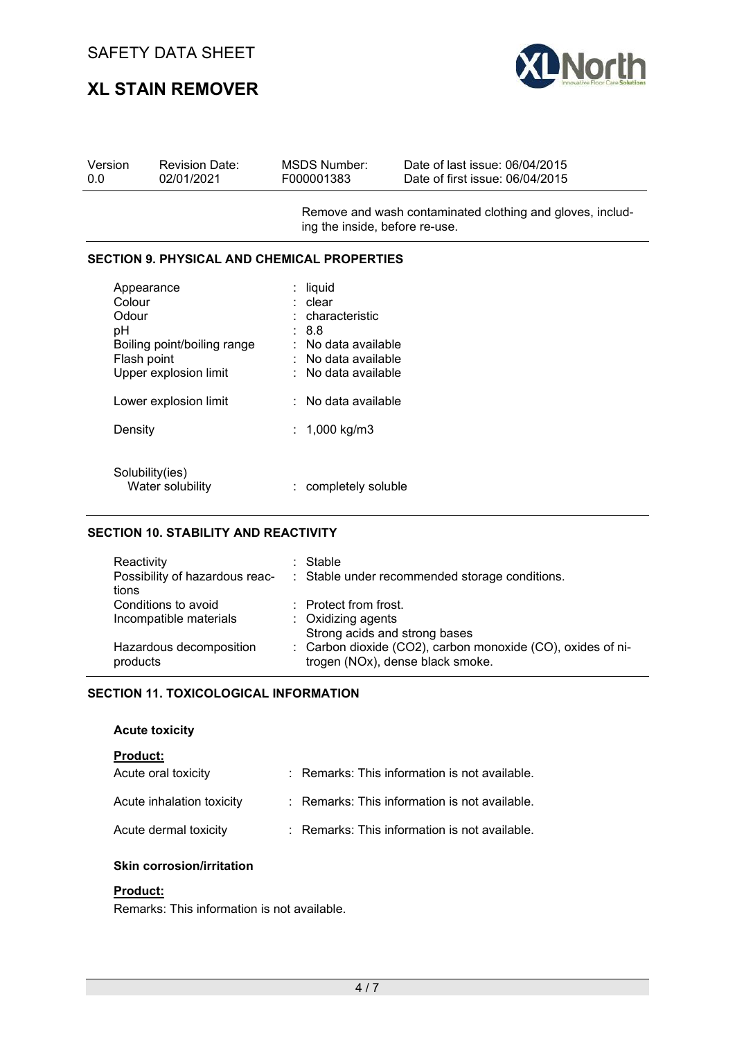# **XL STAIN REMOVER**



| Version | <b>Revision Date:</b> | MSDS Number: | Date of last issue: 06/04/2015  |
|---------|-----------------------|--------------|---------------------------------|
| 0.0     | 02/01/2021            | F000001383   | Date of first issue: 06/04/2015 |
|         |                       |              |                                 |

Remove and wash contaminated clothing and gloves, including the inside, before re-use.

#### **SECTION 9. PHYSICAL AND CHEMICAL PROPERTIES**

| Appearance<br>Colour<br>Odour<br>pH<br>Boiling point/boiling range<br>Flash point<br>Upper explosion limit | liquid<br>clear<br>characteristic<br>8.8<br>No data available<br>No data available<br>No data available |
|------------------------------------------------------------------------------------------------------------|---------------------------------------------------------------------------------------------------------|
| Lower explosion limit                                                                                      | No data available                                                                                       |
| Density                                                                                                    | 1,000 kg/m3                                                                                             |
| Solubility(ies)<br>Water solubility                                                                        | completely soluble                                                                                      |

#### **SECTION 10. STABILITY AND REACTIVITY**

| Reactivity<br>tions     | : Stable<br>Possibility of hazardous reac- : Stable under recommended storage conditions. |
|-------------------------|-------------------------------------------------------------------------------------------|
| Conditions to avoid     | $\therefore$ Protect from frost.                                                          |
| Incompatible materials  | : Oxidizing agents                                                                        |
|                         | Strong acids and strong bases                                                             |
| Hazardous decomposition | : Carbon dioxide (CO2), carbon monoxide (CO), oxides of ni-                               |
| products                | trogen (NOx), dense black smoke.                                                          |

#### **SECTION 11. TOXICOLOGICAL INFORMATION**

#### **Acute toxicity**

**Product:** 

| Acute oral toxicity       | : Remarks: This information is not available. |
|---------------------------|-----------------------------------------------|
| Acute inhalation toxicity | : Remarks: This information is not available. |
| Acute dermal toxicity     | : Remarks: This information is not available. |

#### **Skin corrosion/irritation**

#### **Product:**

Remarks: This information is not available.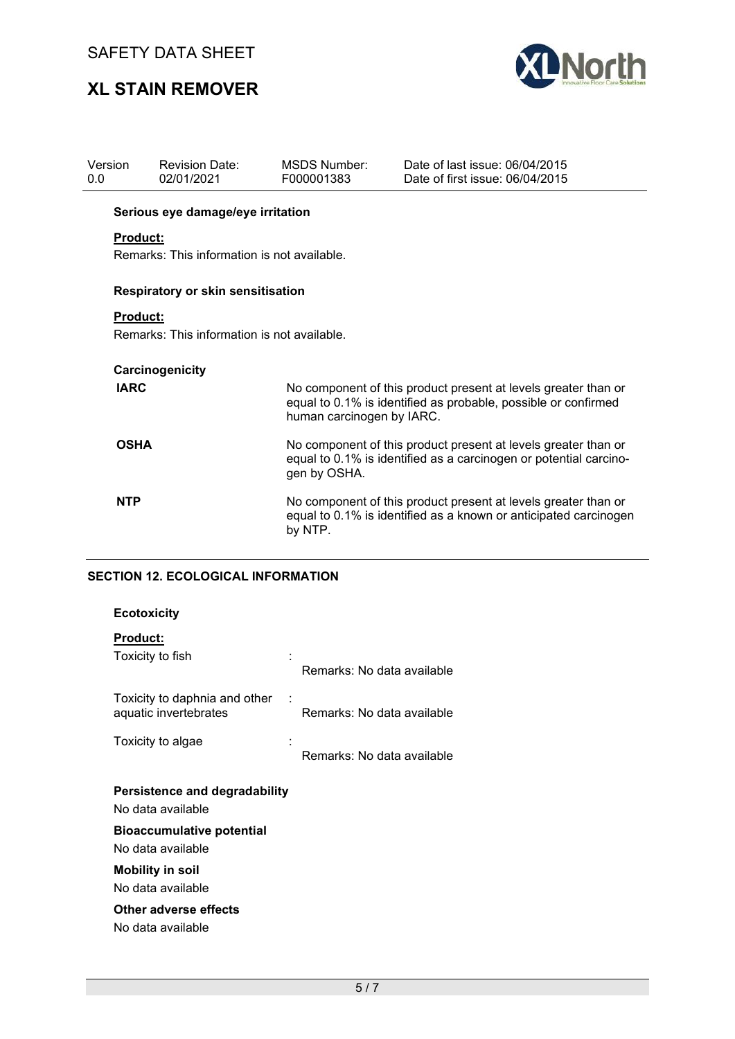# **XL STAIN REMOVER**



| Version<br>0.0  | <b>Revision Date:</b><br>02/01/2021                                                                                                                 | MSDS Number:<br>F000001383 | Date of last issue: 06/04/2015<br>Date of first issue: 06/04/2015                                                                |  |  |
|-----------------|-----------------------------------------------------------------------------------------------------------------------------------------------------|----------------------------|----------------------------------------------------------------------------------------------------------------------------------|--|--|
|                 | Serious eye damage/eye irritation                                                                                                                   |                            |                                                                                                                                  |  |  |
| <b>Product:</b> |                                                                                                                                                     |                            |                                                                                                                                  |  |  |
|                 | Remarks: This information is not available.                                                                                                         |                            |                                                                                                                                  |  |  |
|                 | Respiratory or skin sensitisation                                                                                                                   |                            |                                                                                                                                  |  |  |
| <b>Product:</b> |                                                                                                                                                     |                            |                                                                                                                                  |  |  |
|                 | Remarks: This information is not available.                                                                                                         |                            |                                                                                                                                  |  |  |
|                 |                                                                                                                                                     |                            |                                                                                                                                  |  |  |
|                 | Carcinogenicity                                                                                                                                     |                            |                                                                                                                                  |  |  |
| <b>IARC</b>     |                                                                                                                                                     | human carcinogen by IARC.  | No component of this product present at levels greater than or<br>equal to 0.1% is identified as probable, possible or confirmed |  |  |
| <b>OSHA</b>     | No component of this product present at levels greater than or<br>equal to 0.1% is identified as a carcinogen or potential carcino-<br>gen by OSHA. |                            |                                                                                                                                  |  |  |
| <b>NTP</b>      | No component of this product present at levels greater than or<br>equal to 0.1% is identified as a known or anticipated carcinogen<br>by NTP.       |                            |                                                                                                                                  |  |  |
|                 | <b>SECTION 12. ECOLOGICAL INFORMATION</b>                                                                                                           |                            |                                                                                                                                  |  |  |

| <b>Ecotoxicity</b> |  |
|--------------------|--|
|--------------------|--|

| <b>Product:</b>                                        |  |                            |  |  |  |
|--------------------------------------------------------|--|----------------------------|--|--|--|
| Toxicity to fish                                       |  | Remarks: No data available |  |  |  |
| Toxicity to daphnia and other<br>aquatic invertebrates |  | Remarks: No data available |  |  |  |
| Toxicity to algae                                      |  | Remarks: No data available |  |  |  |
| Persistence and degradability                          |  |                            |  |  |  |
| No data available                                      |  |                            |  |  |  |
| <b>Bioaccumulative potential</b>                       |  |                            |  |  |  |
| No data available                                      |  |                            |  |  |  |
| <b>Mobility in soil</b>                                |  |                            |  |  |  |
| No data available                                      |  |                            |  |  |  |
| Other adverse effects                                  |  |                            |  |  |  |
|                                                        |  |                            |  |  |  |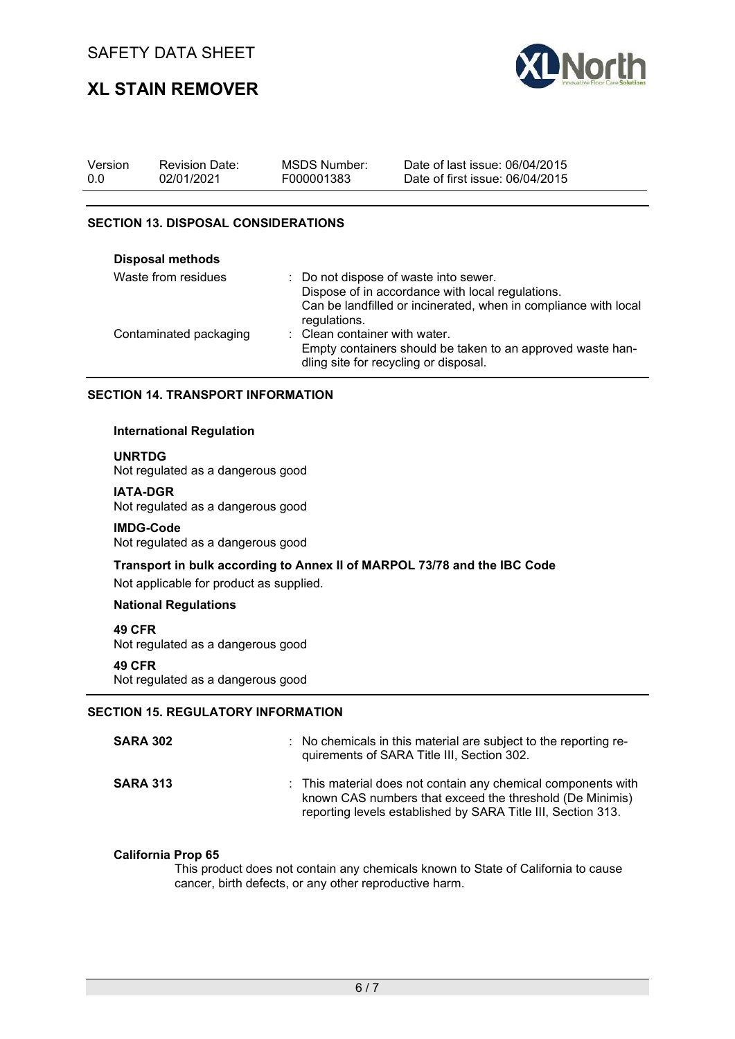# **XL STAIN REMOVER**



| Version | <b>Revision Date:</b> | MSDS Number: | Date of last issue: 06/04/2015  |
|---------|-----------------------|--------------|---------------------------------|
| 0.0     | 02/01/2021            | F000001383   | Date of first issue: 06/04/2015 |

#### **SECTION 13. DISPOSAL CONSIDERATIONS**

| <b>Disposal methods</b> |                                                                                                                                                                              |
|-------------------------|------------------------------------------------------------------------------------------------------------------------------------------------------------------------------|
| Waste from residues     | : Do not dispose of waste into sewer.<br>Dispose of in accordance with local regulations.<br>Can be landfilled or incinerated, when in compliance with local<br>regulations. |
| Contaminated packaging  | : Clean container with water.<br>Empty containers should be taken to an approved waste han-<br>dling site for recycling or disposal.                                         |

#### **SECTION 14. TRANSPORT INFORMATION**

#### **International Regulation**

**UNRTDG**

Not regulated as a dangerous good

#### **IATA-DGR**

Not regulated as a dangerous good

#### **IMDG-Code**

Not regulated as a dangerous good

## **Transport in bulk according to Annex II of MARPOL 73/78 and the IBC Code**

Not applicable for product as supplied.

#### **National Regulations**

#### **49 CFR**

Not regulated as a dangerous good

#### **49 CFR**

Not regulated as a dangerous good

#### **SECTION 15. REGULATORY INFORMATION**

| <b>SARA 302</b> | : No chemicals in this material are subject to the reporting re-<br>quirements of SARA Title III, Section 302.                                                                            |
|-----------------|-------------------------------------------------------------------------------------------------------------------------------------------------------------------------------------------|
| <b>SARA 313</b> | : This material does not contain any chemical components with<br>known CAS numbers that exceed the threshold (De Minimis)<br>reporting levels established by SARA Title III, Section 313. |

#### **California Prop 65**

This product does not contain any chemicals known to State of California to cause cancer, birth defects, or any other reproductive harm.